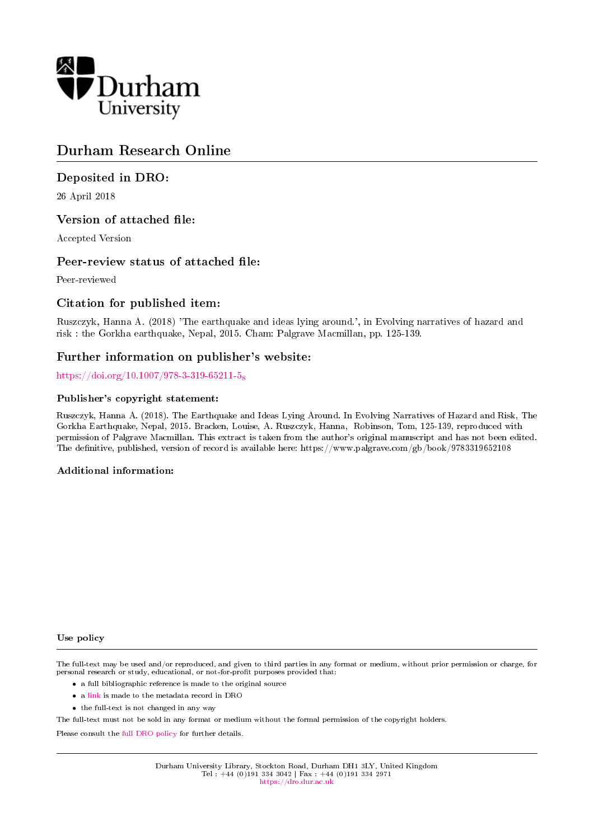

# Durham Research Online

Deposited in DRO:

26 April 2018

# Version of attached file:

Accepted Version

# Peer-review status of attached file:

Peer-reviewed

# Citation for published item:

Ruszczyk, Hanna A. (2018) 'The earthquake and ideas lying around.', in Evolving narratives of hazard and risk : the Gorkha earthquake, Nepal, 2015. Cham: Palgrave Macmillan, pp. 125-139.

# Further information on publisher's website:

[https://doi.org/10.1007/978-3-319-65211-5](https://doi.org/10.1007/978-3-319-65211-5_8)<sup>8</sup>

#### Publisher's copyright statement:

Ruszczyk, Hanna A. (2018). The Earthquake and Ideas Lying Around. In Evolving Narratives of Hazard and Risk, The Gorkha Earthquake, Nepal, 2015. Bracken, Louise, A. Ruszczyk, Hanna, Robinson, Tom, 125-139, reproduced with permission of Palgrave Macmillan. This extract is taken from the author's original manuscript and has not been edited. The definitive, published, version of record is available here: https://www.palgrave.com/gb/book/9783319652108

#### Additional information:

Use policy

The full-text may be used and/or reproduced, and given to third parties in any format or medium, without prior permission or charge, for personal research or study, educational, or not-for-profit purposes provided that:

- a full bibliographic reference is made to the original source
- a [link](http://dro.dur.ac.uk/24662/) is made to the metadata record in DRO
- the full-text is not changed in any way

The full-text must not be sold in any format or medium without the formal permission of the copyright holders.

Please consult the [full DRO policy](https://dro.dur.ac.uk/policies/usepolicy.pdf) for further details.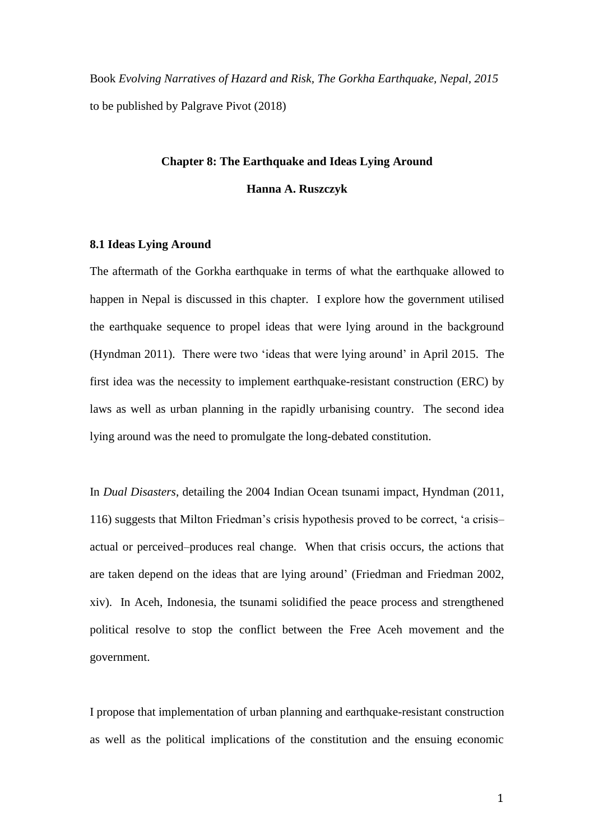Book *Evolving Narratives of Hazard and Risk, The Gorkha Earthquake, Nepal, 2015* to be published by Palgrave Pivot (2018)

# **Chapter 8: The Earthquake and Ideas Lying Around**

**Hanna A. Ruszczyk**

#### **8.1 Ideas Lying Around**

The aftermath of the Gorkha earthquake in terms of what the earthquake allowed to happen in Nepal is discussed in this chapter. I explore how the government utilised the earthquake sequence to propel ideas that were lying around in the background (Hyndman 2011). There were two 'ideas that were lying around' in April 2015. The first idea was the necessity to implement earthquake-resistant construction (ERC) by laws as well as urban planning in the rapidly urbanising country. The second idea lying around was the need to promulgate the long-debated constitution.

In *Dual Disasters*, detailing the 2004 Indian Ocean tsunami impact, Hyndman (2011, 116) suggests that Milton Friedman's crisis hypothesis proved to be correct, 'a crisis– actual or perceived–produces real change. When that crisis occurs, the actions that are taken depend on the ideas that are lying around' (Friedman and Friedman 2002, xiv). In Aceh, Indonesia, the tsunami solidified the peace process and strengthened political resolve to stop the conflict between the Free Aceh movement and the government.

I propose that implementation of urban planning and earthquake-resistant construction as well as the political implications of the constitution and the ensuing economic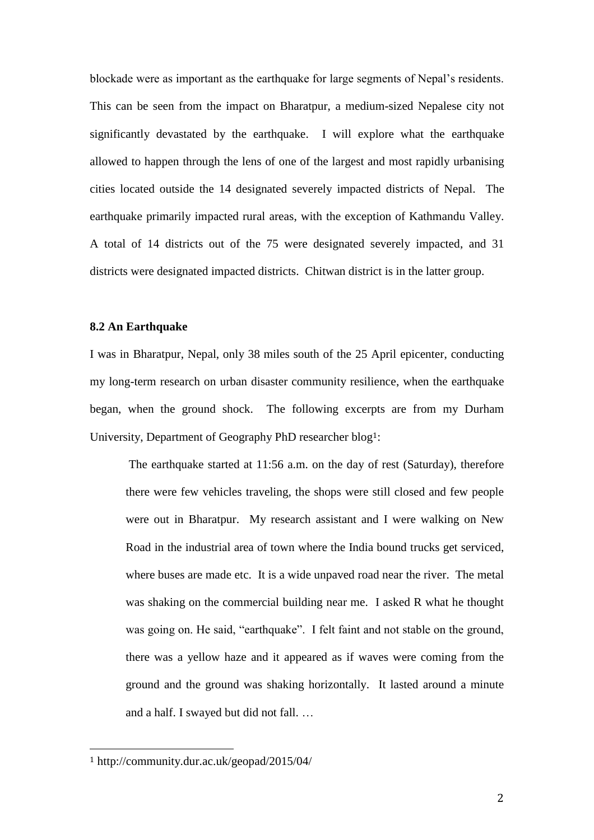blockade were as important as the earthquake for large segments of Nepal's residents. This can be seen from the impact on Bharatpur, a medium-sized Nepalese city not significantly devastated by the earthquake. I will explore what the earthquake allowed to happen through the lens of one of the largest and most rapidly urbanising cities located outside the 14 designated severely impacted districts of Nepal. The earthquake primarily impacted rural areas, with the exception of Kathmandu Valley. A total of 14 districts out of the 75 were designated severely impacted, and 31 districts were designated impacted districts. Chitwan district is in the latter group.

#### **8.2 An Earthquake**

I was in Bharatpur, Nepal, only 38 miles south of the 25 April epicenter, conducting my long-term research on urban disaster community resilience, when the earthquake began, when the ground shock. The following excerpts are from my Durham University, Department of Geography PhD researcher blog1:

The earthquake started at 11:56 a.m. on the day of rest (Saturday), therefore there were few vehicles traveling, the shops were still closed and few people were out in Bharatpur. My research assistant and I were walking on New Road in the industrial area of town where the India bound trucks get serviced, where buses are made etc. It is a wide unpaved road near the river. The metal was shaking on the commercial building near me. I asked R what he thought was going on. He said, "earthquake". I felt faint and not stable on the ground, there was a yellow haze and it appeared as if waves were coming from the ground and the ground was shaking horizontally. It lasted around a minute and a half. I swayed but did not fall. …

 $\overline{\phantom{a}}$ 

<sup>1</sup> http://community.dur.ac.uk/geopad/2015/04/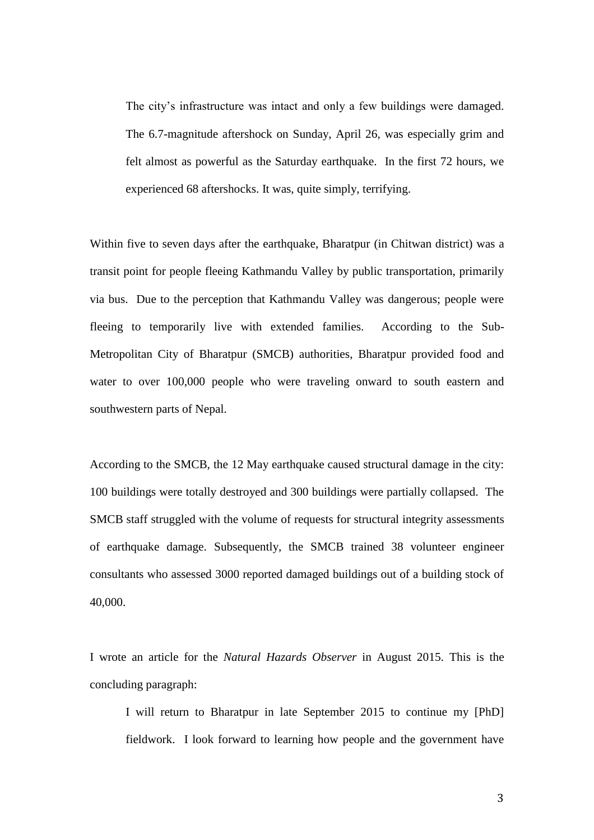The city's infrastructure was intact and only a few buildings were damaged. The 6.7-magnitude aftershock on Sunday, April 26, was especially grim and felt almost as powerful as the Saturday earthquake. In the first 72 hours, we experienced 68 aftershocks. It was, quite simply, terrifying.

Within five to seven days after the earthquake, Bharatpur (in Chitwan district) was a transit point for people fleeing Kathmandu Valley by public transportation, primarily via bus. Due to the perception that Kathmandu Valley was dangerous; people were fleeing to temporarily live with extended families. According to the Sub-Metropolitan City of Bharatpur (SMCB) authorities, Bharatpur provided food and water to over 100,000 people who were traveling onward to south eastern and southwestern parts of Nepal.

According to the SMCB, the 12 May earthquake caused structural damage in the city: 100 buildings were totally destroyed and 300 buildings were partially collapsed. The SMCB staff struggled with the volume of requests for structural integrity assessments of earthquake damage. Subsequently, the SMCB trained 38 volunteer engineer consultants who assessed 3000 reported damaged buildings out of a building stock of 40,000.

I wrote an article for the *Natural Hazards Observer* in August 2015. This is the concluding paragraph:

I will return to Bharatpur in late September 2015 to continue my [PhD] fieldwork. I look forward to learning how people and the government have

3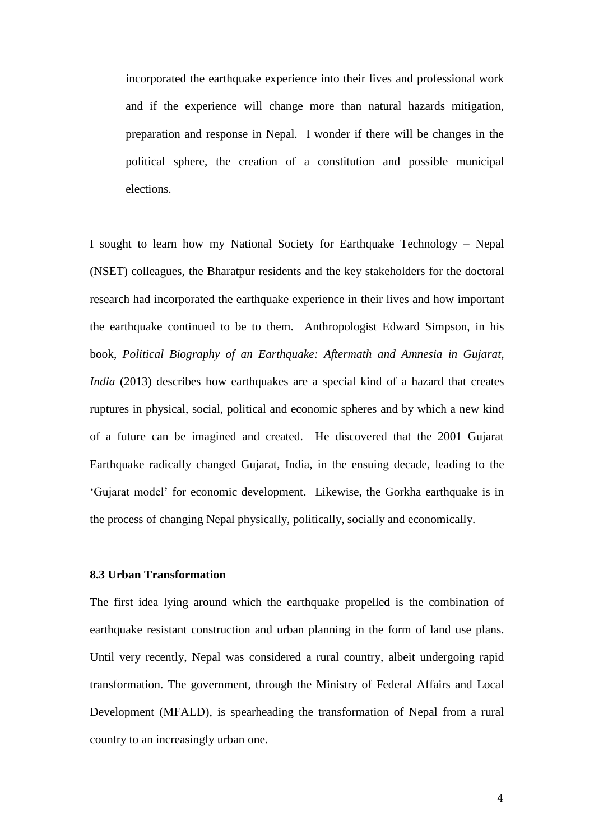incorporated the earthquake experience into their lives and professional work and if the experience will change more than natural hazards mitigation, preparation and response in Nepal. I wonder if there will be changes in the political sphere, the creation of a constitution and possible municipal elections.

I sought to learn how my National Society for Earthquake Technology – Nepal (NSET) colleagues, the Bharatpur residents and the key stakeholders for the doctoral research had incorporated the earthquake experience in their lives and how important the earthquake continued to be to them. Anthropologist Edward Simpson, in his book, *Political Biography of an Earthquake: Aftermath and Amnesia in Gujarat, India* (2013) describes how earthquakes are a special kind of a hazard that creates ruptures in physical, social, political and economic spheres and by which a new kind of a future can be imagined and created. He discovered that the 2001 Gujarat Earthquake radically changed Gujarat, India, in the ensuing decade, leading to the 'Gujarat model' for economic development. Likewise, the Gorkha earthquake is in the process of changing Nepal physically, politically, socially and economically.

# **8.3 Urban Transformation**

The first idea lying around which the earthquake propelled is the combination of earthquake resistant construction and urban planning in the form of land use plans. Until very recently, Nepal was considered a rural country, albeit undergoing rapid transformation. The government, through the Ministry of Federal Affairs and Local Development (MFALD), is spearheading the transformation of Nepal from a rural country to an increasingly urban one.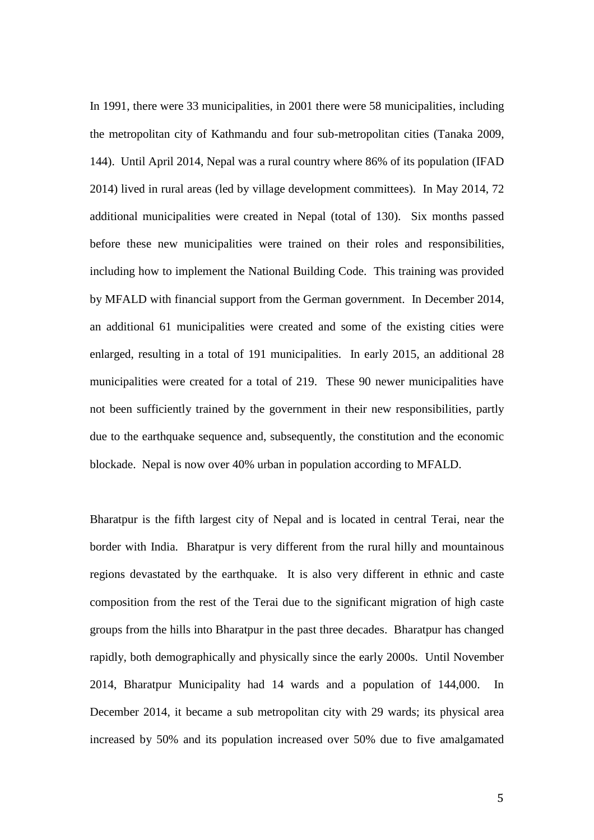In 1991, there were 33 municipalities, in 2001 there were 58 municipalities, including the metropolitan city of Kathmandu and four sub-metropolitan cities (Tanaka 2009, 144). Until April 2014, Nepal was a rural country where 86% of its population (IFAD 2014) lived in rural areas (led by village development committees). In May 2014, 72 additional municipalities were created in Nepal (total of 130). Six months passed before these new municipalities were trained on their roles and responsibilities, including how to implement the National Building Code. This training was provided by MFALD with financial support from the German government. In December 2014, an additional 61 municipalities were created and some of the existing cities were enlarged, resulting in a total of 191 municipalities. In early 2015, an additional 28 municipalities were created for a total of 219. These 90 newer municipalities have not been sufficiently trained by the government in their new responsibilities, partly due to the earthquake sequence and, subsequently, the constitution and the economic blockade. Nepal is now over 40% urban in population according to MFALD.

Bharatpur is the fifth largest city of Nepal and is located in central Terai, near the border with India. Bharatpur is very different from the rural hilly and mountainous regions devastated by the earthquake. It is also very different in ethnic and caste composition from the rest of the Terai due to the significant migration of high caste groups from the hills into Bharatpur in the past three decades. Bharatpur has changed rapidly, both demographically and physically since the early 2000s. Until November 2014, Bharatpur Municipality had 14 wards and a population of 144,000. In December 2014, it became a sub metropolitan city with 29 wards; its physical area increased by 50% and its population increased over 50% due to five amalgamated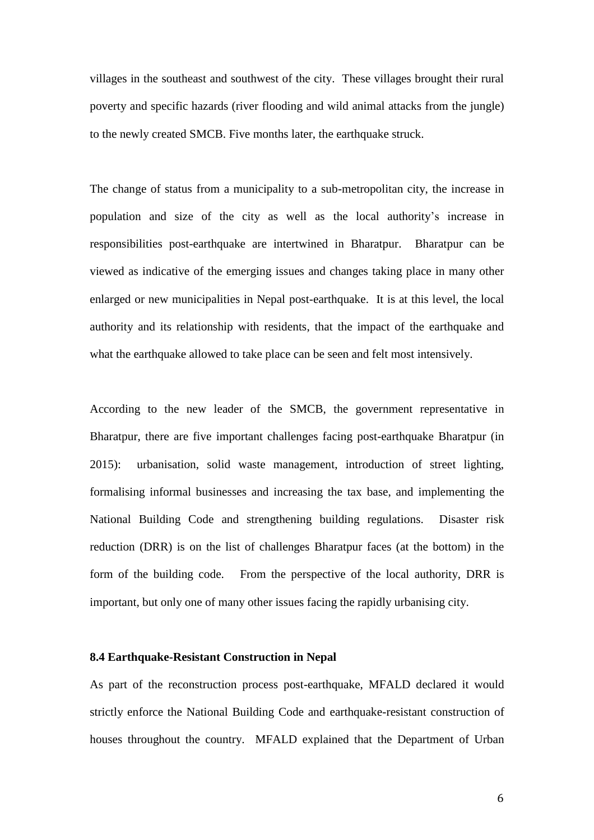villages in the southeast and southwest of the city. These villages brought their rural poverty and specific hazards (river flooding and wild animal attacks from the jungle) to the newly created SMCB. Five months later, the earthquake struck.

The change of status from a municipality to a sub-metropolitan city, the increase in population and size of the city as well as the local authority's increase in responsibilities post-earthquake are intertwined in Bharatpur. Bharatpur can be viewed as indicative of the emerging issues and changes taking place in many other enlarged or new municipalities in Nepal post-earthquake. It is at this level, the local authority and its relationship with residents, that the impact of the earthquake and what the earthquake allowed to take place can be seen and felt most intensively.

According to the new leader of the SMCB, the government representative in Bharatpur, there are five important challenges facing post-earthquake Bharatpur (in 2015): urbanisation, solid waste management, introduction of street lighting, formalising informal businesses and increasing the tax base, and implementing the National Building Code and strengthening building regulations. Disaster risk reduction (DRR) is on the list of challenges Bharatpur faces (at the bottom) in the form of the building code. From the perspective of the local authority, DRR is important, but only one of many other issues facing the rapidly urbanising city.

#### **8.4 Earthquake-Resistant Construction in Nepal**

As part of the reconstruction process post-earthquake, MFALD declared it would strictly enforce the National Building Code and earthquake-resistant construction of houses throughout the country. MFALD explained that the Department of Urban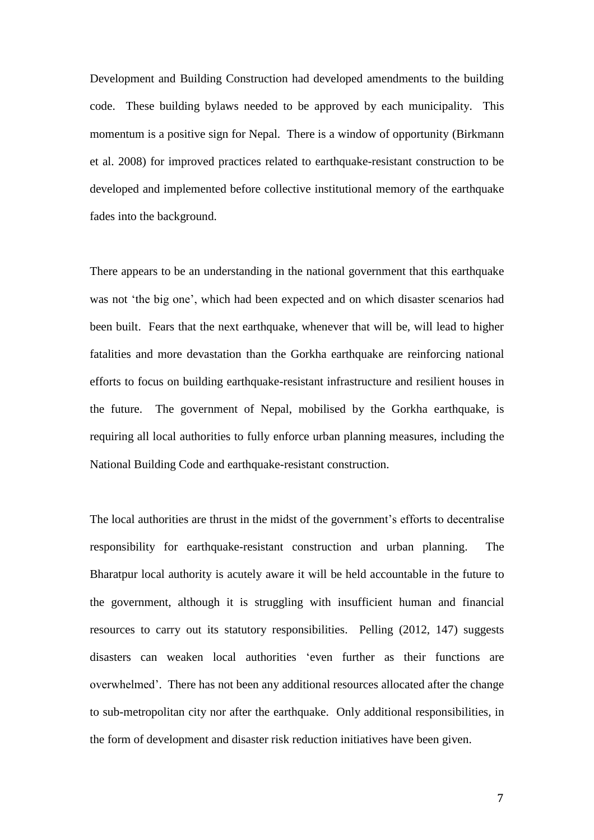Development and Building Construction had developed amendments to the building code. These building bylaws needed to be approved by each municipality. This momentum is a positive sign for Nepal. There is a window of opportunity (Birkmann et al. 2008) for improved practices related to earthquake-resistant construction to be developed and implemented before collective institutional memory of the earthquake fades into the background.

There appears to be an understanding in the national government that this earthquake was not 'the big one', which had been expected and on which disaster scenarios had been built. Fears that the next earthquake, whenever that will be, will lead to higher fatalities and more devastation than the Gorkha earthquake are reinforcing national efforts to focus on building earthquake-resistant infrastructure and resilient houses in the future. The government of Nepal, mobilised by the Gorkha earthquake, is requiring all local authorities to fully enforce urban planning measures, including the National Building Code and earthquake-resistant construction.

The local authorities are thrust in the midst of the government's efforts to decentralise responsibility for earthquake-resistant construction and urban planning. The Bharatpur local authority is acutely aware it will be held accountable in the future to the government, although it is struggling with insufficient human and financial resources to carry out its statutory responsibilities. Pelling (2012, 147) suggests disasters can weaken local authorities 'even further as their functions are overwhelmed'. There has not been any additional resources allocated after the change to sub-metropolitan city nor after the earthquake. Only additional responsibilities, in the form of development and disaster risk reduction initiatives have been given.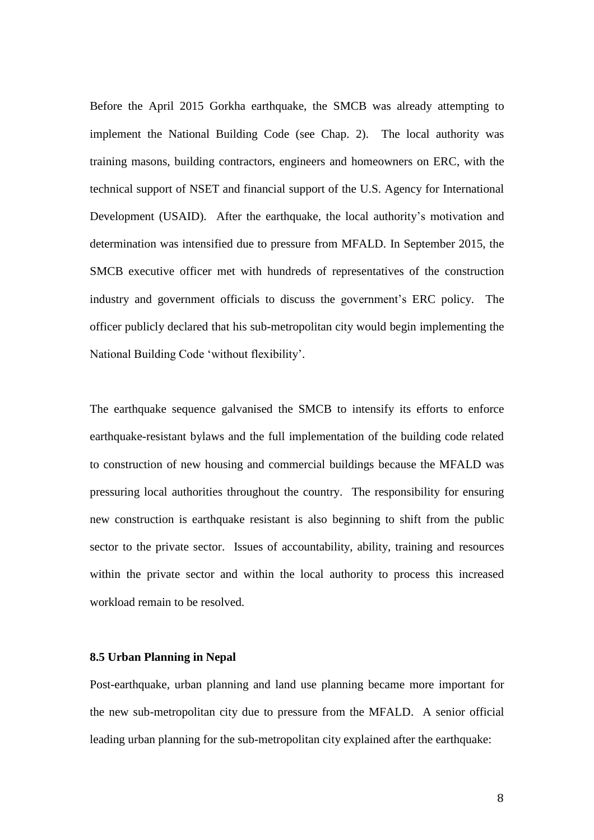Before the April 2015 Gorkha earthquake, the SMCB was already attempting to implement the National Building Code (see Chap. 2). The local authority was training masons, building contractors, engineers and homeowners on ERC, with the technical support of NSET and financial support of the U.S. Agency for International Development (USAID). After the earthquake, the local authority's motivation and determination was intensified due to pressure from MFALD. In September 2015, the SMCB executive officer met with hundreds of representatives of the construction industry and government officials to discuss the government's ERC policy. The officer publicly declared that his sub-metropolitan city would begin implementing the National Building Code 'without flexibility'.

The earthquake sequence galvanised the SMCB to intensify its efforts to enforce earthquake-resistant bylaws and the full implementation of the building code related to construction of new housing and commercial buildings because the MFALD was pressuring local authorities throughout the country. The responsibility for ensuring new construction is earthquake resistant is also beginning to shift from the public sector to the private sector. Issues of accountability, ability, training and resources within the private sector and within the local authority to process this increased workload remain to be resolved.

#### **8.5 Urban Planning in Nepal**

Post-earthquake, urban planning and land use planning became more important for the new sub-metropolitan city due to pressure from the MFALD. A senior official leading urban planning for the sub-metropolitan city explained after the earthquake: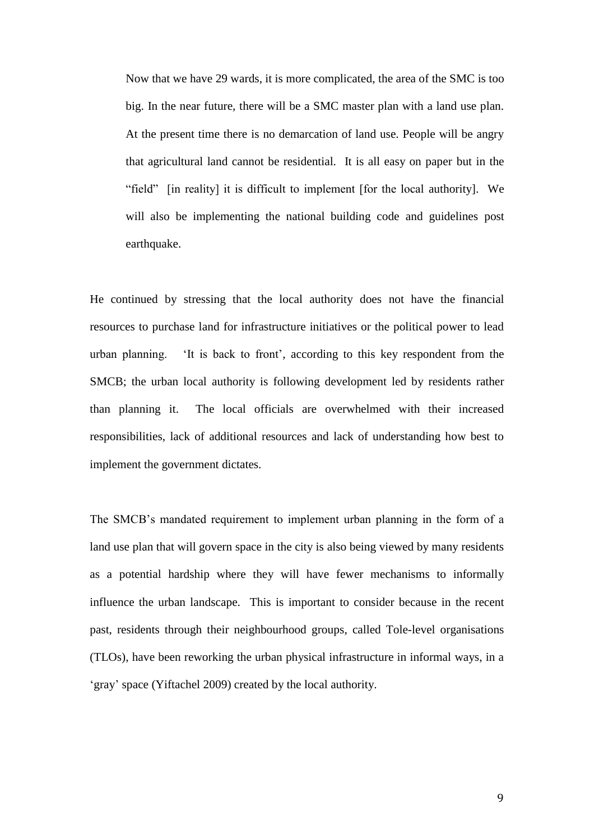Now that we have 29 wards, it is more complicated, the area of the SMC is too big. In the near future, there will be a SMC master plan with a land use plan. At the present time there is no demarcation of land use. People will be angry that agricultural land cannot be residential. It is all easy on paper but in the "field" [in reality] it is difficult to implement [for the local authority]. We will also be implementing the national building code and guidelines post earthquake.

He continued by stressing that the local authority does not have the financial resources to purchase land for infrastructure initiatives or the political power to lead urban planning. 'It is back to front', according to this key respondent from the SMCB; the urban local authority is following development led by residents rather than planning it. The local officials are overwhelmed with their increased responsibilities, lack of additional resources and lack of understanding how best to implement the government dictates.

The SMCB's mandated requirement to implement urban planning in the form of a land use plan that will govern space in the city is also being viewed by many residents as a potential hardship where they will have fewer mechanisms to informally influence the urban landscape. This is important to consider because in the recent past, residents through their neighbourhood groups, called Tole-level organisations (TLOs), have been reworking the urban physical infrastructure in informal ways, in a 'gray' space (Yiftachel 2009) created by the local authority.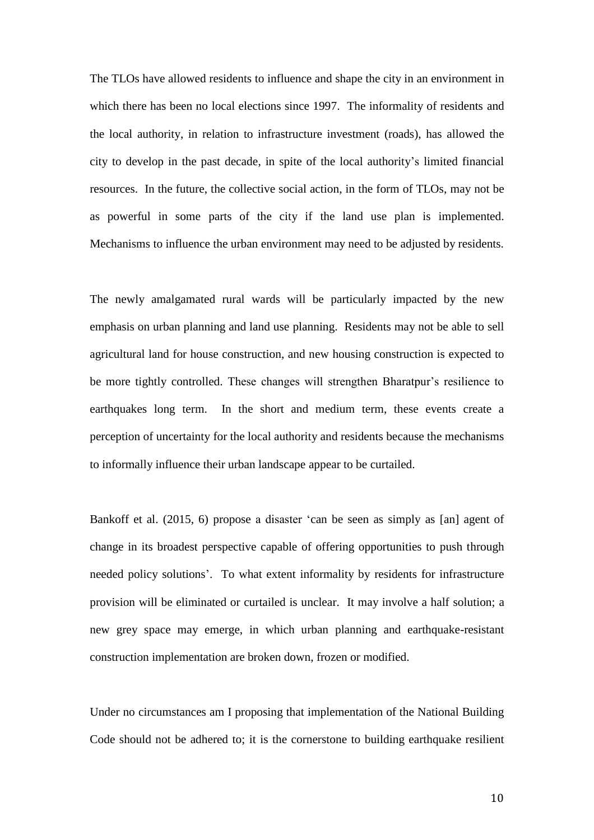The TLOs have allowed residents to influence and shape the city in an environment in which there has been no local elections since 1997. The informality of residents and the local authority, in relation to infrastructure investment (roads), has allowed the city to develop in the past decade, in spite of the local authority's limited financial resources. In the future, the collective social action, in the form of TLOs, may not be as powerful in some parts of the city if the land use plan is implemented. Mechanisms to influence the urban environment may need to be adjusted by residents.

The newly amalgamated rural wards will be particularly impacted by the new emphasis on urban planning and land use planning. Residents may not be able to sell agricultural land for house construction, and new housing construction is expected to be more tightly controlled. These changes will strengthen Bharatpur's resilience to earthquakes long term. In the short and medium term, these events create a perception of uncertainty for the local authority and residents because the mechanisms to informally influence their urban landscape appear to be curtailed.

Bankoff et al. (2015, 6) propose a disaster 'can be seen as simply as [an] agent of change in its broadest perspective capable of offering opportunities to push through needed policy solutions'. To what extent informality by residents for infrastructure provision will be eliminated or curtailed is unclear. It may involve a half solution; a new grey space may emerge, in which urban planning and earthquake-resistant construction implementation are broken down, frozen or modified.

Under no circumstances am I proposing that implementation of the National Building Code should not be adhered to; it is the cornerstone to building earthquake resilient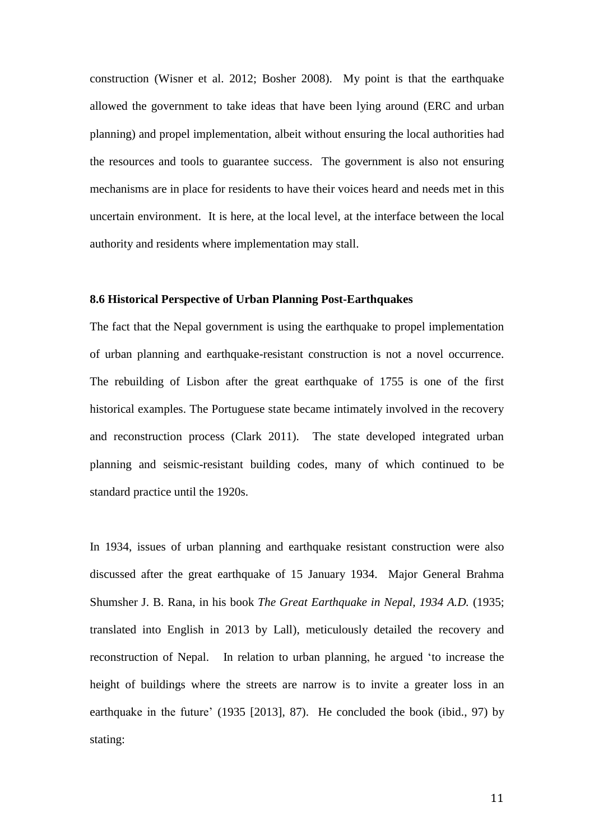construction (Wisner et al. 2012; Bosher 2008). My point is that the earthquake allowed the government to take ideas that have been lying around (ERC and urban planning) and propel implementation, albeit without ensuring the local authorities had the resources and tools to guarantee success. The government is also not ensuring mechanisms are in place for residents to have their voices heard and needs met in this uncertain environment. It is here, at the local level, at the interface between the local authority and residents where implementation may stall.

#### **8.6 Historical Perspective of Urban Planning Post-Earthquakes**

The fact that the Nepal government is using the earthquake to propel implementation of urban planning and earthquake-resistant construction is not a novel occurrence. The rebuilding of Lisbon after the great earthquake of 1755 is one of the first historical examples. The Portuguese state became intimately involved in the recovery and reconstruction process (Clark 2011). The state developed integrated urban planning and seismic-resistant building codes, many of which continued to be standard practice until the 1920s.

In 1934, issues of urban planning and earthquake resistant construction were also discussed after the great earthquake of 15 January 1934. Major General Brahma Shumsher J. B. Rana, in his book *The Great Earthquake in Nepal, 1934 A.D.* (1935; translated into English in 2013 by Lall), meticulously detailed the recovery and reconstruction of Nepal. In relation to urban planning, he argued 'to increase the height of buildings where the streets are narrow is to invite a greater loss in an earthquake in the future' (1935 [2013], 87). He concluded the book (ibid., 97) by stating: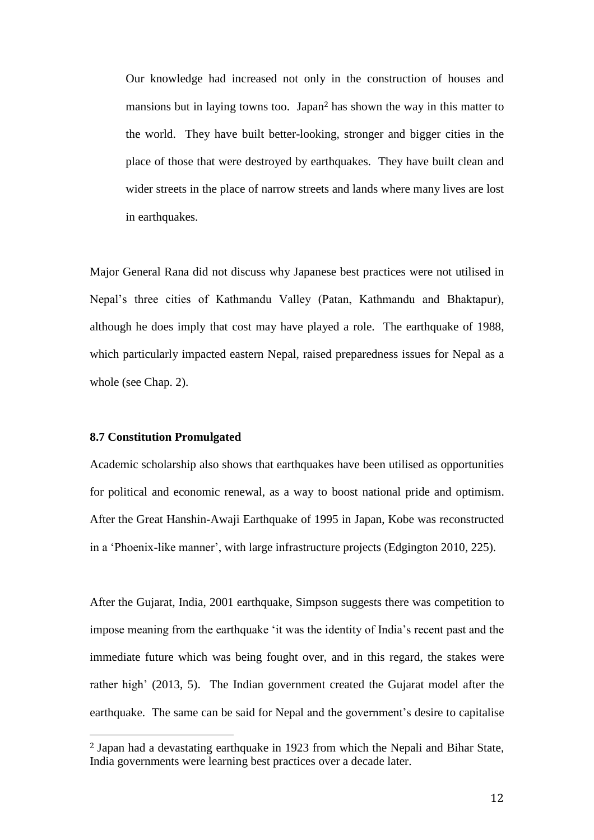Our knowledge had increased not only in the construction of houses and mansions but in laying towns too. Japan<sup>2</sup> has shown the way in this matter to the world. They have built better-looking, stronger and bigger cities in the place of those that were destroyed by earthquakes. They have built clean and wider streets in the place of narrow streets and lands where many lives are lost in earthquakes.

Major General Rana did not discuss why Japanese best practices were not utilised in Nepal's three cities of Kathmandu Valley (Patan, Kathmandu and Bhaktapur), although he does imply that cost may have played a role. The earthquake of 1988, which particularly impacted eastern Nepal, raised preparedness issues for Nepal as a whole (see Chap. 2).

#### **8.7 Constitution Promulgated**

 $\overline{a}$ 

Academic scholarship also shows that earthquakes have been utilised as opportunities for political and economic renewal, as a way to boost national pride and optimism. After the Great Hanshin-Awaji Earthquake of 1995 in Japan, Kobe was reconstructed in a 'Phoenix-like manner', with large infrastructure projects (Edgington 2010, 225).

After the Gujarat, India, 2001 earthquake, Simpson suggests there was competition to impose meaning from the earthquake 'it was the identity of India's recent past and the immediate future which was being fought over, and in this regard, the stakes were rather high' (2013, 5). The Indian government created the Gujarat model after the earthquake. The same can be said for Nepal and the government's desire to capitalise

<sup>2</sup> Japan had a devastating earthquake in 1923 from which the Nepali and Bihar State, India governments were learning best practices over a decade later.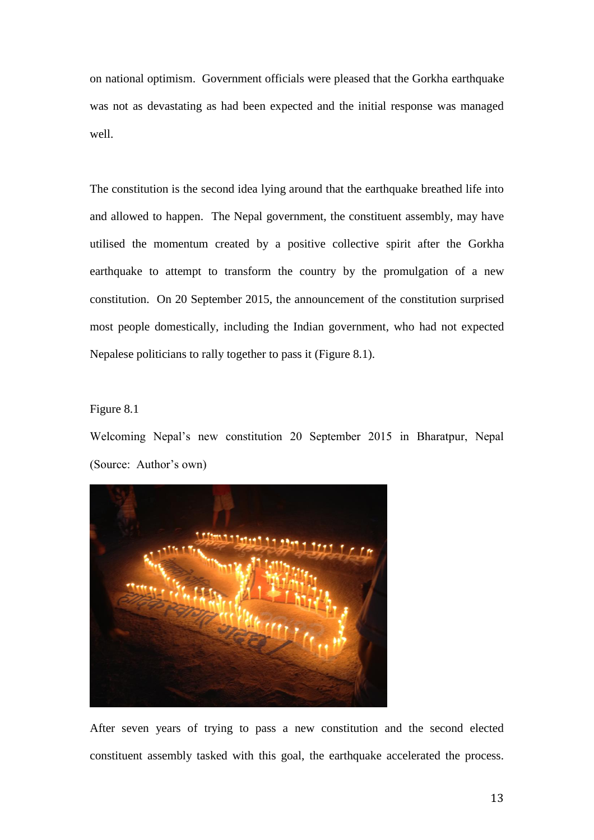on national optimism. Government officials were pleased that the Gorkha earthquake was not as devastating as had been expected and the initial response was managed well.

The constitution is the second idea lying around that the earthquake breathed life into and allowed to happen. The Nepal government, the constituent assembly, may have utilised the momentum created by a positive collective spirit after the Gorkha earthquake to attempt to transform the country by the promulgation of a new constitution. On 20 September 2015, the announcement of the constitution surprised most people domestically, including the Indian government, who had not expected Nepalese politicians to rally together to pass it (Figure 8.1).

Figure 8.1

Welcoming Nepal's new constitution 20 September 2015 in Bharatpur, Nepal (Source: Author's own)



After seven years of trying to pass a new constitution and the second elected constituent assembly tasked with this goal, the earthquake accelerated the process.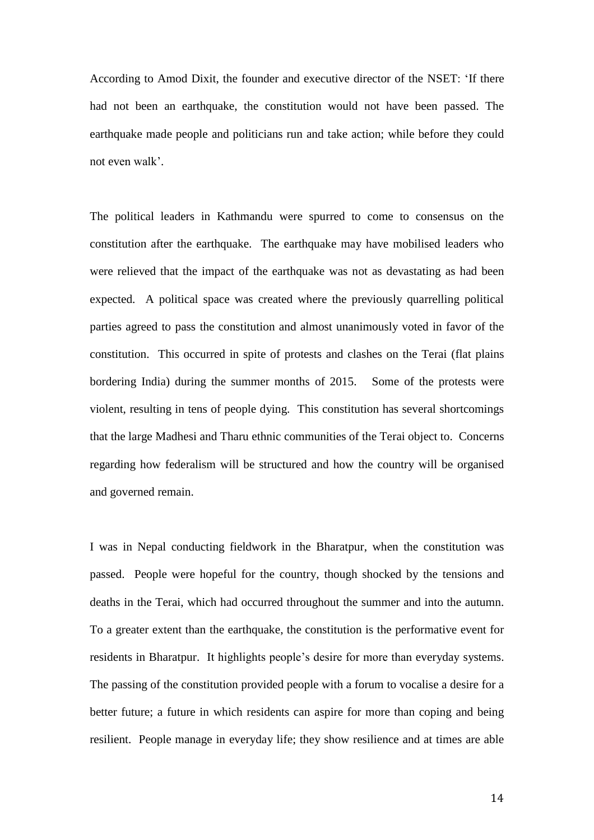According to Amod Dixit, the founder and executive director of the NSET: 'If there had not been an earthquake, the constitution would not have been passed. The earthquake made people and politicians run and take action; while before they could not even walk'.

The political leaders in Kathmandu were spurred to come to consensus on the constitution after the earthquake. The earthquake may have mobilised leaders who were relieved that the impact of the earthquake was not as devastating as had been expected. A political space was created where the previously quarrelling political parties agreed to pass the constitution and almost unanimously voted in favor of the constitution. This occurred in spite of protests and clashes on the Terai (flat plains bordering India) during the summer months of 2015. Some of the protests were violent, resulting in tens of people dying. This constitution has several shortcomings that the large Madhesi and Tharu ethnic communities of the Terai object to. Concerns regarding how federalism will be structured and how the country will be organised and governed remain.

I was in Nepal conducting fieldwork in the Bharatpur, when the constitution was passed. People were hopeful for the country, though shocked by the tensions and deaths in the Terai, which had occurred throughout the summer and into the autumn. To a greater extent than the earthquake, the constitution is the performative event for residents in Bharatpur. It highlights people's desire for more than everyday systems. The passing of the constitution provided people with a forum to vocalise a desire for a better future; a future in which residents can aspire for more than coping and being resilient. People manage in everyday life; they show resilience and at times are able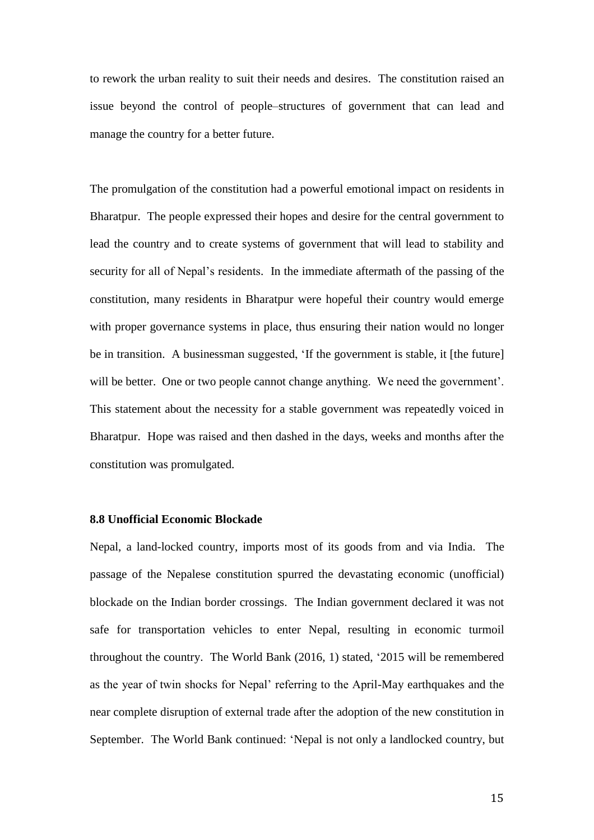to rework the urban reality to suit their needs and desires. The constitution raised an issue beyond the control of people–structures of government that can lead and manage the country for a better future.

The promulgation of the constitution had a powerful emotional impact on residents in Bharatpur. The people expressed their hopes and desire for the central government to lead the country and to create systems of government that will lead to stability and security for all of Nepal's residents. In the immediate aftermath of the passing of the constitution, many residents in Bharatpur were hopeful their country would emerge with proper governance systems in place, thus ensuring their nation would no longer be in transition. A businessman suggested, 'If the government is stable, it [the future] will be better. One or two people cannot change anything. We need the government'. This statement about the necessity for a stable government was repeatedly voiced in Bharatpur. Hope was raised and then dashed in the days, weeks and months after the constitution was promulgated.

#### **8.8 Unofficial Economic Blockade**

Nepal, a land-locked country, imports most of its goods from and via India. The passage of the Nepalese constitution spurred the devastating economic (unofficial) blockade on the Indian border crossings. The Indian government declared it was not safe for transportation vehicles to enter Nepal, resulting in economic turmoil throughout the country. The World Bank (2016, 1) stated, '2015 will be remembered as the year of twin shocks for Nepal' referring to the April-May earthquakes and the near complete disruption of external trade after the adoption of the new constitution in September. The World Bank continued: 'Nepal is not only a landlocked country, but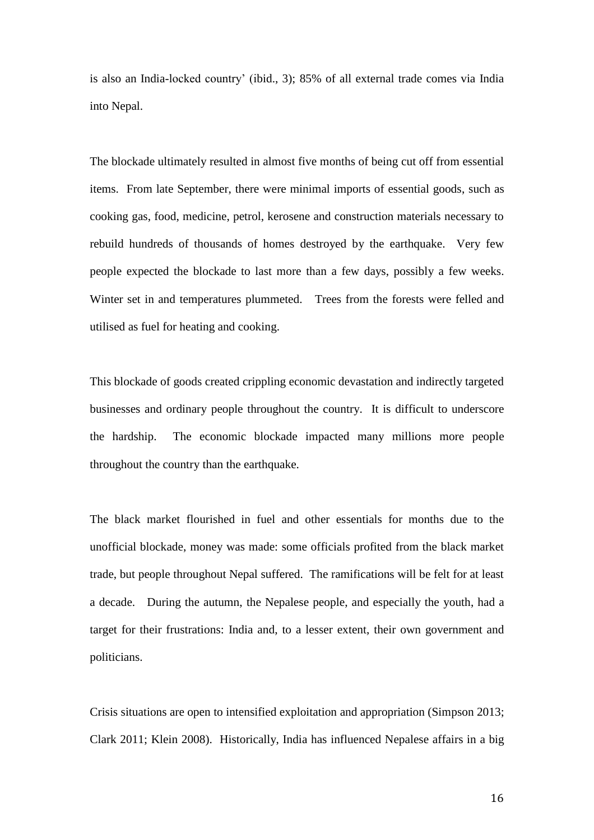is also an India-locked country' (ibid., 3); 85% of all external trade comes via India into Nepal.

The blockade ultimately resulted in almost five months of being cut off from essential items. From late September, there were minimal imports of essential goods, such as cooking gas, food, medicine, petrol, kerosene and construction materials necessary to rebuild hundreds of thousands of homes destroyed by the earthquake. Very few people expected the blockade to last more than a few days, possibly a few weeks. Winter set in and temperatures plummeted. Trees from the forests were felled and utilised as fuel for heating and cooking.

This blockade of goods created crippling economic devastation and indirectly targeted businesses and ordinary people throughout the country. It is difficult to underscore the hardship. The economic blockade impacted many millions more people throughout the country than the earthquake.

The black market flourished in fuel and other essentials for months due to the unofficial blockade, money was made: some officials profited from the black market trade, but people throughout Nepal suffered. The ramifications will be felt for at least a decade. During the autumn, the Nepalese people, and especially the youth, had a target for their frustrations: India and, to a lesser extent, their own government and politicians.

Crisis situations are open to intensified exploitation and appropriation (Simpson 2013; Clark 2011; Klein 2008). Historically, India has influenced Nepalese affairs in a big

16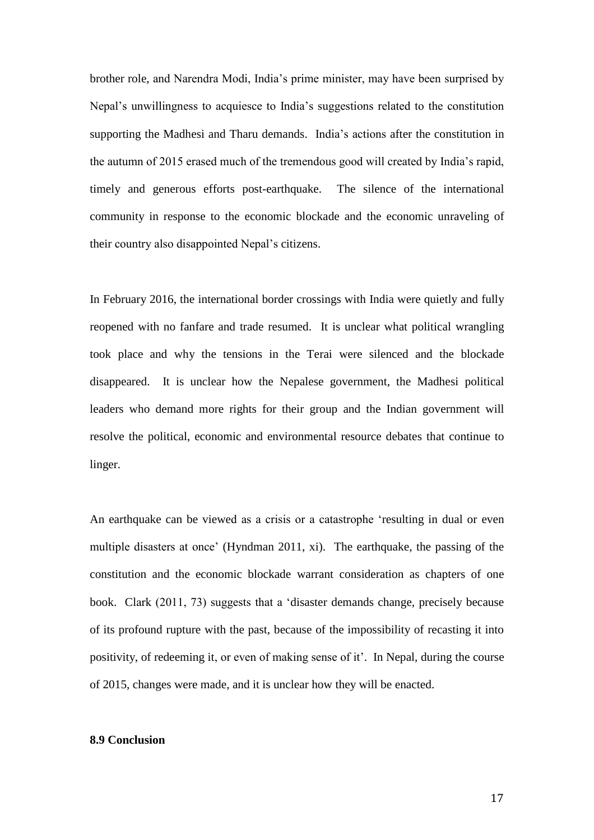brother role, and Narendra Modi, India's prime minister, may have been surprised by Nepal's unwillingness to acquiesce to India's suggestions related to the constitution supporting the Madhesi and Tharu demands. India's actions after the constitution in the autumn of 2015 erased much of the tremendous good will created by India's rapid, timely and generous efforts post-earthquake. The silence of the international community in response to the economic blockade and the economic unraveling of their country also disappointed Nepal's citizens.

In February 2016, the international border crossings with India were quietly and fully reopened with no fanfare and trade resumed. It is unclear what political wrangling took place and why the tensions in the Terai were silenced and the blockade disappeared. It is unclear how the Nepalese government, the Madhesi political leaders who demand more rights for their group and the Indian government will resolve the political, economic and environmental resource debates that continue to linger.

An earthquake can be viewed as a crisis or a catastrophe 'resulting in dual or even multiple disasters at once' (Hyndman 2011, xi). The earthquake, the passing of the constitution and the economic blockade warrant consideration as chapters of one book. Clark (2011, 73) suggests that a 'disaster demands change, precisely because of its profound rupture with the past, because of the impossibility of recasting it into positivity, of redeeming it, or even of making sense of it'. In Nepal, during the course of 2015, changes were made, and it is unclear how they will be enacted.

#### **8.9 Conclusion**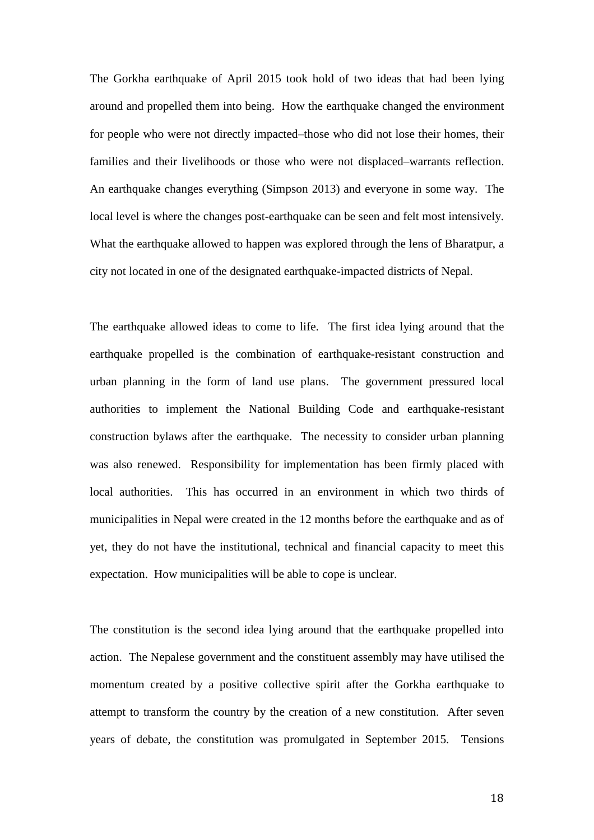The Gorkha earthquake of April 2015 took hold of two ideas that had been lying around and propelled them into being. How the earthquake changed the environment for people who were not directly impacted–those who did not lose their homes, their families and their livelihoods or those who were not displaced–warrants reflection. An earthquake changes everything (Simpson 2013) and everyone in some way. The local level is where the changes post-earthquake can be seen and felt most intensively. What the earthquake allowed to happen was explored through the lens of Bharatpur, a city not located in one of the designated earthquake-impacted districts of Nepal.

The earthquake allowed ideas to come to life. The first idea lying around that the earthquake propelled is the combination of earthquake-resistant construction and urban planning in the form of land use plans. The government pressured local authorities to implement the National Building Code and earthquake-resistant construction bylaws after the earthquake. The necessity to consider urban planning was also renewed. Responsibility for implementation has been firmly placed with local authorities. This has occurred in an environment in which two thirds of municipalities in Nepal were created in the 12 months before the earthquake and as of yet, they do not have the institutional, technical and financial capacity to meet this expectation. How municipalities will be able to cope is unclear.

The constitution is the second idea lying around that the earthquake propelled into action. The Nepalese government and the constituent assembly may have utilised the momentum created by a positive collective spirit after the Gorkha earthquake to attempt to transform the country by the creation of a new constitution. After seven years of debate, the constitution was promulgated in September 2015. Tensions

18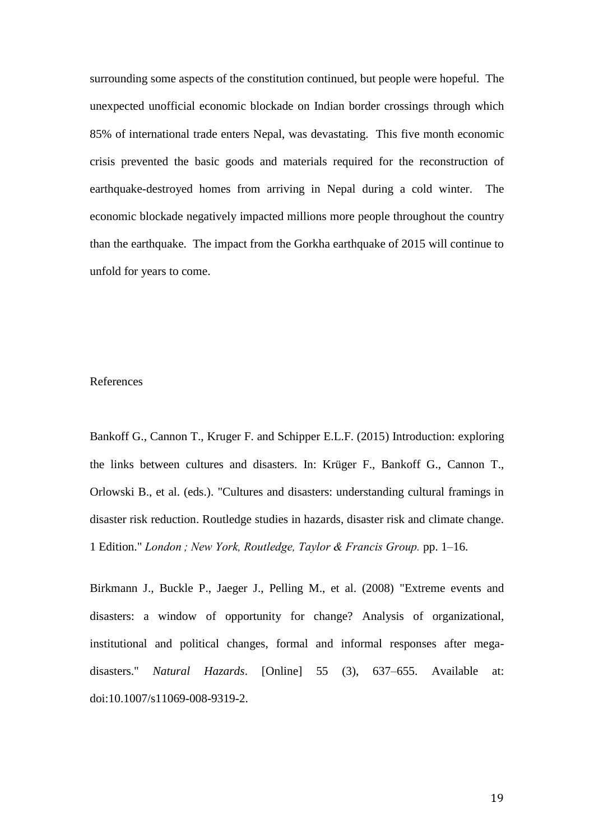surrounding some aspects of the constitution continued, but people were hopeful. The unexpected unofficial economic blockade on Indian border crossings through which 85% of international trade enters Nepal, was devastating. This five month economic crisis prevented the basic goods and materials required for the reconstruction of earthquake-destroyed homes from arriving in Nepal during a cold winter. The economic blockade negatively impacted millions more people throughout the country than the earthquake. The impact from the Gorkha earthquake of 2015 will continue to unfold for years to come.

#### References

Bankoff G., Cannon T., Kruger F. and Schipper E.L.F. (2015) Introduction: exploring the links between cultures and disasters. In: Krüger F., Bankoff G., Cannon T., Orlowski B., et al. (eds.). "Cultures and disasters: understanding cultural framings in disaster risk reduction. Routledge studies in hazards, disaster risk and climate change. 1 Edition." *London ; New York, Routledge, Taylor & Francis Group.* pp. 1–16.

Birkmann J., Buckle P., Jaeger J., Pelling M., et al. (2008) "Extreme events and disasters: a window of opportunity for change? Analysis of organizational, institutional and political changes, formal and informal responses after megadisasters." *Natural Hazards*. [Online] 55 (3), 637–655. Available at: doi:10.1007/s11069-008-9319-2.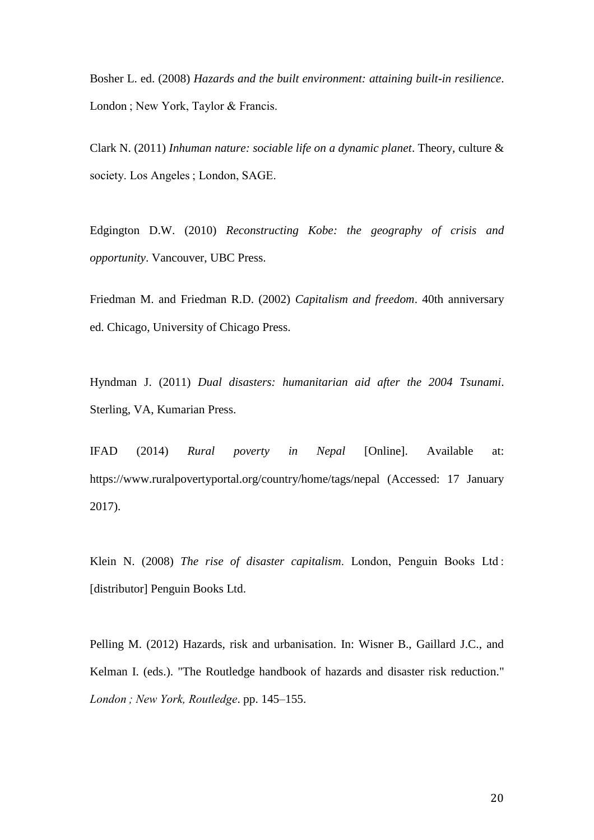Bosher L. ed. (2008) *Hazards and the built environment: attaining built-in resilience*. London ; New York, Taylor & Francis.

Clark N. (2011) *Inhuman nature: sociable life on a dynamic planet*. Theory, culture & society. Los Angeles ; London, SAGE.

Edgington D.W. (2010) *Reconstructing Kobe: the geography of crisis and opportunity*. Vancouver, UBC Press.

Friedman M. and Friedman R.D. (2002) *Capitalism and freedom*. 40th anniversary ed. Chicago, University of Chicago Press.

Hyndman J. (2011) *Dual disasters: humanitarian aid after the 2004 Tsunami*. Sterling, VA, Kumarian Press.

IFAD (2014) *Rural poverty in Nepal* [Online]. Available at: https://www.ruralpovertyportal.org/country/home/tags/nepal (Accessed: 17 January 2017).

Klein N. (2008) *The rise of disaster capitalism*. London, Penguin Books Ltd : [distributor] Penguin Books Ltd.

Pelling M. (2012) Hazards, risk and urbanisation. In: Wisner B., Gaillard J.C., and Kelman I. (eds.). "The Routledge handbook of hazards and disaster risk reduction." *London ; New York, Routledge*. pp. 145–155.